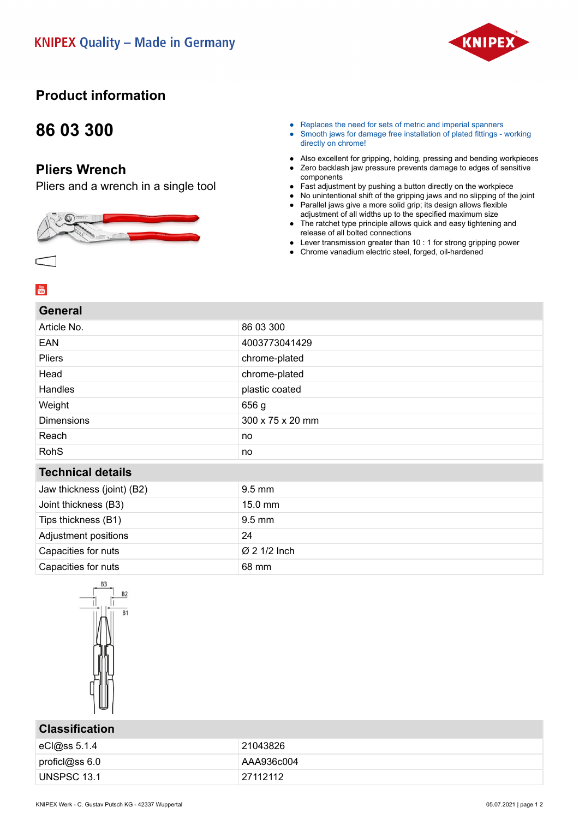

### **Product information**

# **86 03 300**

### **Pliers Wrench**

Pliers and a wrench in a single tool



- Replaces the need for sets of metric and imperial spanners
- Smooth jaws for damage free installation of plated fittings working directly on chrome!
- Also excellent for gripping, holding, pressing and bending workpieces
- Zero backlash jaw pressure prevents damage to edges of sensitive components
- Fast adjustment by pushing a button directly on the workpiece
- No unintentional shift of the gripping jaws and no slipping of the joint
- Parallel jaws give a more solid grip; its design allows flexible adjustment of all widths up to the specified maximum size
- The ratchet type principle allows quick and easy tightening and release of all bolted connections
- Lever transmission greater than  $10:1$  for strong gripping power
- Chrome vanadium electric steel, forged, oil-hardened

#### $\frac{You}{ffline}$

| <b>General</b>             |                  |
|----------------------------|------------------|
| Article No.                | 86 03 300        |
| EAN                        | 4003773041429    |
| Pliers                     | chrome-plated    |
| Head                       | chrome-plated    |
| Handles                    | plastic coated   |
| Weight                     | 656 g            |
| <b>Dimensions</b>          | 300 x 75 x 20 mm |
| Reach                      | no               |
| <b>RohS</b>                | no               |
| <b>Technical details</b>   |                  |
| Jaw thickness (joint) (B2) | $9.5$ mm         |
| Joint thickness (B3)       | 15.0 mm          |
| Tips thickness (B1)        | 9.5 mm           |
| Adjustment positions       | 24               |
| Capacities for nuts        | Ø 2 1/2 Inch     |
| Capacities for nuts        | 68 mm            |
|                            |                  |



#### **Classification**

| <b>VIUVVIIIVULIVII</b> |            |
|------------------------|------------|
| eCl@ss 5.1.4           | 21043826   |
| profici@ss 6.0         | AAA936c004 |
| UNSPSC 13.1            | 27112112   |